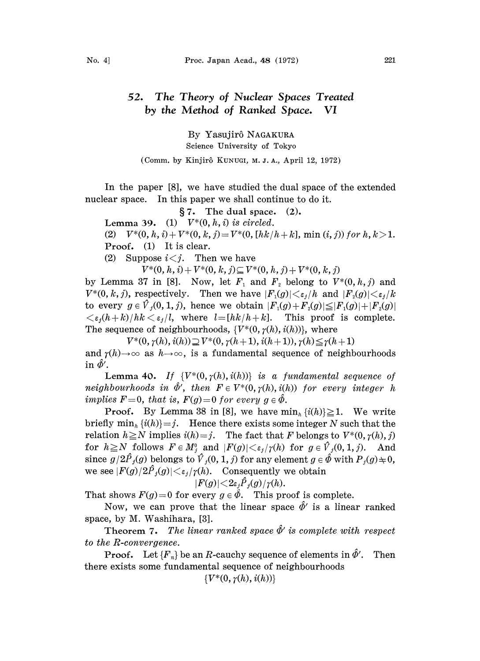## 52. The Theory of Nuclear Spaces Treated by the Method of Ranked Space. VI

By Yasujir6 NAGAKURA Science University of Tokyo

(Comm. by Kinjir6 KUNUGI, M. J. A., April 12, 1972)

In the paper [8], we have studied the dual space of the extended nuclear space. In this paper we shall continue to do it.

 $\S 7.$  The dual space. (2).

Lemma 39. (1)  $V^*(0, h, i)$  is circled.

(2)  $V^*(0, h, i) + V^*(0, k, j) = V^*(0, [hk/h + k], \min(i, j))$  for  $h, k > 1$ . Proof. (1) It is clear.

(2) Suppose  $i < j$ . Then we have

 $V^*(0, h, i) + V^*(0, k, j) \subseteq V^*(0, h, j) + V^*(0, k, j)$ 

by Lemma 37 in [8]. Now, let  $F_1$  and  $F_2$  belong to  $V^*(0, h, j)$  and  $V^*(0, k, j)$ , respectively. Then we have  $|F_1(g)| \leq \varepsilon_j/h$  and  $|F_2(g)| \leq \varepsilon_j/h$ to every  $g \in V_i(0, 1, j)$ , hence we obtain  $|F_1(g)+F_2(g)| \leq |F_1(g)|+|F_2(g)|$  $\langle \varepsilon_i (h+k) / hk \langle \varepsilon_j / l, \text{ where } l = [hk/h + k].$  This proof is complete. The sequence of neighbourhoods,  $\{V^*(0, \gamma(h), i(h))\}$ , where

 $V^*(0, \gamma(h), i(h)) \supseteq V^*(0, \gamma(h+1), i(h+1)), \gamma(h) \leq \gamma(h+1)$ and  $r(h) \to \infty$  as  $h \to \infty$ , is a fundamental sequence of neighbourhoods in  $\hat{\phi}'$ .

Lemma 40. If  $\{V^*(0, \gamma(h), i(h))\}$  is a fundamental sequence of neighbourhoods in  $\hat{\Phi}'$ , then  $F \in V^*(0,\gamma(h),i(h))$  for every integer h implies  $F=0$ , that is,  $F(g)=0$  for every  $g \in \hat{\Phi}$ .

**Proof.** By Lemma 38 in [8], we have  $\min_{h} \{i(h)\} \geq 1$ . We write briefly  $\min_h \{i(h)\}=j$ . Hence there exists some integer N such that the relation  $h \ge N$  implies  $i(h)=j$ . The fact that F belongs to  $V^*(0, \gamma(h), j)$ for  $h \ge N$  follows  $F \in M$ <sup>0</sup>, and  $|F(g)| < \varepsilon_j/\gamma(h)$  for  $g \in V_j(0, 1, j)$ . And since  $g/2\hat{P}_j(g)$  belongs to  $\hat{V}_j(0, 1, j)$  for any element  $g \in \hat{\phi}$  with  $P_j(g) \neq 0$ , we see  $|F(g)/2\hat{P}_j(g)| \lt \varepsilon_j/\gamma(h)$ . Consequently we obtain

$$
|F(g)| \!<\! 2\varepsilon_j P_j(g)/\gamma(h).
$$

That shows  $F(g)=0$  for every  $g \in \hat{\phi}$ . This proof is complete.

Now, we can prove that the linear space  $\hat{\phi}'$  is a linear ranked space, by M. Washihara, [3].

Theorem 7. The linear ranked space  $\ddot{\Phi}'$  is complete with respect  $e$  R-convergence. to the R-convergence.

**Proof.** Let  ${F_n}$  be an R-cauchy sequence of elements in  $\hat{\phi}'$ . Then there exists some fundamental sequence of neighbourhoods

 $\{V^*(0, \gamma(h), i(h))\}$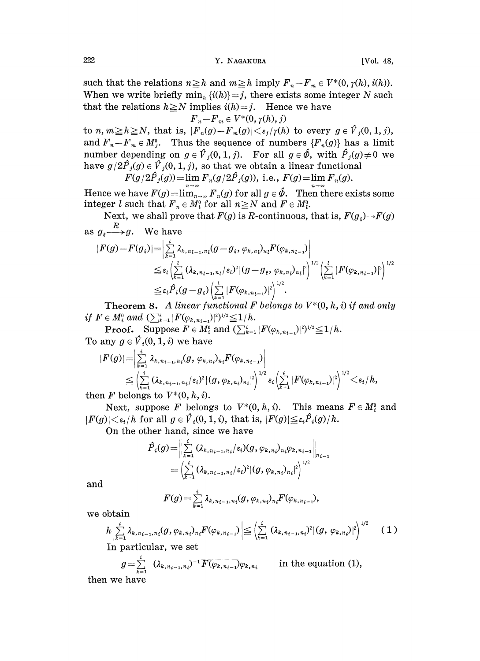## 222 Y. NAGAKURA [Vol. 48,

such that the relations  $n \geq h$  and  $m \geq h$  imply  $F_n-F_m \in V^*(0, \gamma(h), i(h))$ . When we write briefly  $\min_{h} \{i(h)\}=j$ , there exists some integer N such that the relations  $h \ge N$  implies  $i(h)=j$ . Hence we have

$$
\boldsymbol{F}_n\!-\!\boldsymbol{F}_m \in V^*(0,\gamma(h),j)
$$

to  $n, m \geq h \geq N$ , that is,  $|F_n(g) - F_m(g)| \lt \varepsilon_j/\gamma(h)$  to every  $g \in V_j(0, 1, j)$ , and  $F_n-F_m \in M_j^0$ . Thus the sequence of numbers  $\{F_n(g)\}\$  has a limit number depending on  $g \in \hat{V}_j(0, 1, j)$ . For all  $g \in \hat{\phi}$ , with  $\hat{P}_j(g) \neq 0$  we have  $g/2\hat{P}_j(g) \in \hat{V}_j(0, 1, j)$ , so that we obtain a linear functional

$$
F(g/2\tilde{P}_j(g)) = \lim_{n \to \infty} F_n(g/2\tilde{P}_j(g)), \text{ i.e., } F(g) = \lim_{n \to \infty} F_n(g).
$$

Hence we have  $F(g) = \lim_{n \to \infty} F_n(g)$  for all  $g \in \hat{\phi}$ . Then there exists some integer l such that  $F_n \in M_l^0$  for all  $n \geq N$  and  $F \in M_l^0$ .

Next, we shall prove that  $F(g)$  is R-continuous, that is,  $F(g<sub>\xi</sub>) \rightarrow F(g)$ as  $g_{\varepsilon} \stackrel{R}{\longrightarrow} g$ . We have

$$
|F(g)-F(g_{\varepsilon})| = \left|\sum_{k=1}^{l} \lambda_{k,n_{l-1},n_l}(g-g_{\varepsilon},\varphi_{k,n_l})_{n_l} F(\varphi_{k,n_{l-1}}) \right|
$$
  
\n
$$
\leq \varepsilon_l \left| \sum_{k=1}^{l} (\lambda_{k,n_{l-1},n_l}/\varepsilon_l)^2 |(g-g_{\varepsilon},\varphi_{k,n_l})_{n_l}|^2 \right|^{1/2} \left| \sum_{k=1}^{l} |F(\varphi_{k,n_{l-1}})|^2 \right|^{1/2}
$$
  
\n
$$
\leq \varepsilon_l \hat{P}_l(g-g_{\varepsilon}) \left| \sum_{k=1}^{l} |F(\varphi_{k,n_{l-1}})|^2 \right|^{1/2}.
$$

**Theorem 8.** A linear functional F belongs to  $V^*(0, h, i)$  if and only if  $F \in M_i^0$  and  $(\sum_{k=1}^i |F(\varphi_{k, n_{i-1}})|^2)^{1/2} \leq 1/h$ .

**Proof.** Suppose  $F \in M_i^0$  and  $(\sum_{k=1}^i |F(\varphi_{k,n_{i-1}})|^2)^{1/2} \leq 1/h$ . To any  $g \in \hat{V}_i(0, 1, i)$  we have

$$
\begin{aligned} |F(g)|=&\bigg|\sum_{k=1}^i\lambda_{k,n_{i-1},n_i}(g,\,\varphi_{k,n_i})_{n_i}F(\varphi_{k,n_{i-1}})\bigg|\\ \leq&\bigg(\sum_{k=1}^i\,(\lambda_{k,n_{i-1},n_i}/\varepsilon_i)^2\,|(g,\,\varphi_{k,n_i})_{n_i}|^2\bigg)^{1/2}\,\varepsilon_i\,\Big(\sum_{k=1}^i\,|F(\varphi_{k,n_{i-1}})|^2\Big)^{1/2}\!<\!\varepsilon_i/h,\\ \text{in}\,\,F\text{ belongs to}\,\,V^{*G}(\lambda,\,h,\,\hat\lambda)\end{aligned}
$$

then F belongs to  $V^*(0, h, i)$ .

Next, suppose F belongs to  $V^*(0, h, i)$ . This means  $F \in M_i^0$  and  $|F(g)| < \varepsilon_i/h$  for all  $g \in \hat{V}_i(0, 1, i)$ , that is,  $|F(g)| \leq \varepsilon_i \hat{P}_i(g)/h$ .

 $\mathbf{r}$ 

On the other hand, since we have

$$
\hat{P}_i(g) = \Big\|\sum_{k=1}^i (\lambda_{k, n_{i-1}, n_i}/\varepsilon_i)(g, \varphi_{k, n_i})_{n_i} \varphi_{k, n_{i-1}}\Big\|_{n_{i-1}} \n= \Big(\sum_{k=1}^i (\lambda_{k, n_{i-1}, n_i}/\varepsilon_i)^2 |(g, \varphi_{k, n_i})_{n_i}|^2\Big)^{1/2}
$$

and

$$
F(g) = \sum_{k=1}^{i} \lambda_{k, n_{i-1}, n_i}(g, \varphi_{k, n_i})_{n_i} F(\varphi_{k, n_{i-1}}),
$$

we obtain

$$
h\left|\sum_{k=1}^{i} \lambda_{k, n_{i-1}, n_i}(g, \varphi_{k, n_i})_{n_i} F(\varphi_{k, n_{i-1}})\right| \leq \left|\sum_{k=1}^{i} (\lambda_{k, n_{i-1}, n_i})^2 |(g, \varphi_{k, n_i})|^2\right|^{1/2} \qquad (1)
$$

In particular, we set

$$
g = \sum_{k=1}^{i} (\lambda_{k,n_{i-1},n_i})^{-1} \overline{F(\varphi_{k,n_{i-1}})} \varphi_{k,n_i}
$$
 in the equation (1),

then we have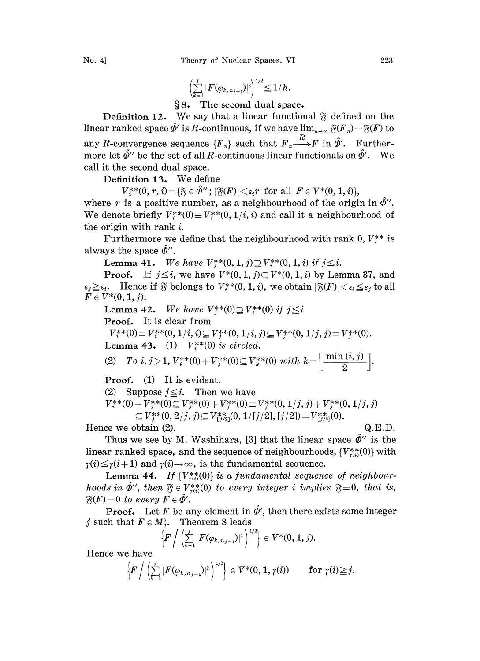$$
\left(\sum_{k=1}^i|F(\varphi_{k,n_{i-1}})|^2\right)^{1/2}\!\!\leq\!1/h.
$$

{} 8. The second dual space.

Definition 12. We say that a linear functional  $\tilde{\gamma}$  defined on the linear ranked space  $\hat{\varPhi}'$  is  $R$ -continuous, if we have lim $_{n\to\infty}$   $\frak{F}(F_{n})\!=\!\frak{F}(F)$  to any R-convergence sequence  $\{F_n\}$  such that  $F_n \xrightarrow{R} F$  in  $\hat{\phi}'$ . Furthermore let  $\hat{\phi}$ " be the set of all R-continuous linear functionals on  $\hat{\phi}'$ . We call it the second dual space.

Definition 13. We define

 $V^{**}(0, r, i) = {\mathfrak{F}} \in \hat{\Phi}''$ ;  $|\mathfrak{F}(F)| < \varepsilon_i r$  for all  $F \in V^{*}(0, 1, i)$ ,

where r is a positive number, as a neighbourhood of the origin in  $\hat{\phi}$ ". We denote briefly  $V_*^*(0) \equiv V_*^*(0, 1/i, i)$  and call it a neighbourhood of the origin with rank i.

Furthermore we define that the neighbourhood with rank 0,  $V_i^{**}$  is always the space  $\tilde{\phi}$ ".

Lemma 41. We have  $V_i^{**}(0, 1, j) \supseteq V_i^{**}(0, 1, i)$  if  $j \leq i$ .

**Proof.** If  $j \leq i$ , we have  $V^*(0, 1, j) \subseteq V^*(0, 1, i)$  by Lemma 37, and  $\varepsilon_j \geq \varepsilon_i$ . Hence if  $\mathfrak F$  belongs to  $V^{**}_i(0, 1, i)$ , we obtain  $|\mathfrak F(F)| < \varepsilon_i \leq \varepsilon_j$  to all  $F \in V^*(0, 1, j).$ 

Lemma 42. We have  $V_i^{**}(0) \supseteq V_i^{**}(0)$  if  $j \leq i$ .

Proof. It is clear from

 $V_*^{**}(0) \equiv V_*^{**}(0, 1/i, i) \subseteq V_*^{**}(0, 1/i, j) \subseteq V_*^{**}(0, 1/j, j) \equiv V_*^{**}(0).$ 

Lemma 43. (1)  $V^{**}_{i}(0)$  is circled.

(2) 
$$
To\ i, j>1, V^*_{i}(0) + V^*_{j}(0) \subseteq V^*_{i}(0) \ with \ k = \left[\frac{\min(i,j)}{2}\right].
$$

Proof. (1) It is evident.

(2) Suppose  $j \leq i$ . Then we have

$$
V_i^{**}(0) + V_j^{**}(0) \subseteq V_j^{**}(0) + V_j^{**}(0) \equiv V_j^{**}(0, 1/j, j) + V_j^{**}(0, 1/j, j)
$$
  
\n
$$
\subseteq V_j^{**}(0, 2/j, j) \subseteq V_{i,j_2}^{**}(0, 1/[j/2], [j/2]) = V_{i,j_2}^{**}(0).
$$

Hence we obtain (2).  $Q.E.D.$ 

Thus we see by M. Washihara, [3] that the linear space  $\hat{\Phi}^{\prime\prime}$  is the ir ranked space, and the sequence of neighbourhoods,  $\{V_{\tau(i)}^{**}(0)\}$  with linear ranked space, and the sequence of neighbourhoods,  $\{V_{\tau(i)}^{**}(0)\}$  with  $\gamma(i) \leq \gamma(i+1)$  and  $\gamma(i) \to \infty$ , is the fundamental sequence.

Lemma 44. If  $\{V_{r(i)}^{**}(0)\}$  is a fundamental sequence of neighbourhoods in  $\hat{\Phi}$ ", then  $\mathfrak{F} \in V_{\tau(i)}^{**}(0)$  to every integer i implies  $\mathfrak{F} = 0$ , that is,  $\mathfrak{F}(F)=0$  to every  $F \in \hat{\phi}'$ .

**Proof.** Let F be any element in  $\hat{\phi}'$ , then there exists some integer j such that  $F \in M_i^0$ . Theorem 8 leads

$$
\left\{F\bigg/ \left(\sum_{k=1}^j |F(\varphi_{k,n_{j-1}})|^2\right)^{1/2}\right\} \in V^*(0,1,j).
$$

Hence we have

$$
\left\{F\left/\left(\textstyle\sum\limits_{k=1}^j|F(\varphi_{k,\,n_{\,j-1}})|^2\right)^{1/2}\right\}\in V^*(0,\,1,\,\gamma(i))\qquad\text{for}\,\,\gamma(i)\!\ge\!j.
$$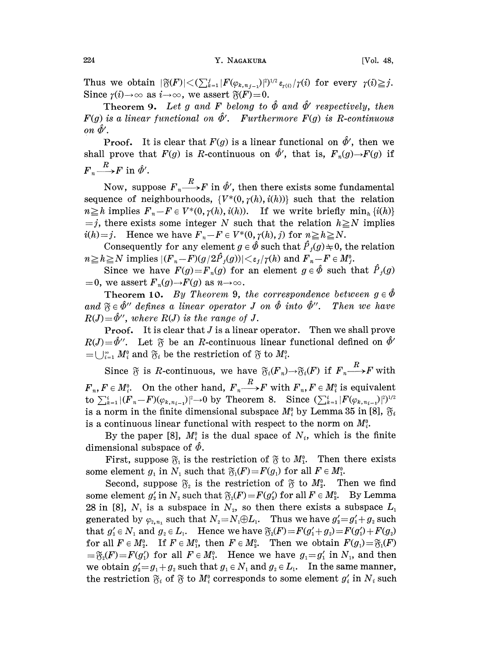Thus we obtain  $|\mathfrak{F}(F)| < (\sum_{k=1}^j |F(\varphi_{k,n,j-1})|^2)^{1/2} \varepsilon_{r(i)}/\gamma(i)$  for every  $\gamma(i) \geq j$ . Since  $\gamma(i) \to \infty$  as  $i \to \infty$ , we assert  $\mathfrak{F}(F)=0$ .

**Theorem 9.** Let g and F belong to  $\hat{\Phi}$  and  $\hat{\Phi}'$  respectively, then is a linear functional on  $\hat{\Phi}'$ . Furthermore  $F(g)$  is R-continuous  $F(g)$  is a linear functional on  $\hat{\Phi}'$ . Furthermore  $F(g)$  is R-continuous on  $\hat{\phi}'$ .

**Proof.** It is clear that  $F(g)$  is a linear functional on  $\hat{\phi}'$ , then we shall prove that  $F(g)$  is R-continuous on  $\hat{\phi}'$ , that is,  $F_n(g) \rightarrow F(g)$  if  $F_n \longrightarrow F$  in  $\hat{\phi}'$ .

Now, suppose  $F_n \longrightarrow F$  in  $\hat{\phi}'$ , then there exists some fundamental sequence of neighbourhoods,  $\{V^*(0, \gamma(h), i(h))\}$  such that the relation  $n \geq h$  implies  $F_n-F \in V^*(0, \gamma(h), i(h))$ . If we write briefly min<sub>h</sub> {i(h)}  $=j$ , there exists some integer N such that the relation  $h \ge N$  implies  $i(h)=j$ . Hence we have  $F_n-F \in V^*(0, \gamma(h), j)$  for  $n \geq h \geq N$ .

Consequently for any element  $g \in \hat{\Phi}$  such that  $\hat{P}_j(g) \neq 0$ , the relation  $n \geq h \geq N$  implies  $|(F_n-F)(g/2\hat{P}_i(g))| \leq \varepsilon_1/\gamma(h)$  and  $F_n-F \in M_i^0$ .

Since we have  $F(g)=F_n(g)$  for an element  $g \in \hat{\Phi}$  such that  $\hat{P}_i(g)$  $=0$ , we assert  $F_n(g) \to F(g)$  as  $n \to \infty$ .

**Theorem 10.** By Theorem 9, the correspondence between  $g \in \hat{\Phi}$ and  $\mathfrak{F}\in \hat{\Phi}''$  defines a linear operator J on  $\hat{\Phi}$  into  $\hat{\Phi}''$ . Then we have  $R(J)=\hat{\Phi}''$ , where  $R(J)$  is the range of J.  $R(J) = \hat{\Phi}''$ , where  $R(J)$  is the range of J.

**Proof.** It is clear that  $J$  is a linear operator. Then we shall prove  $R(J) = \hat{\phi}$ ". Let  $\tilde{\gamma}$  be an R-continuous linear functional defined on  $\hat{\phi}$ "  $=$   $\bigcup_{i=1}^{\infty} M_i^0$  and  $\mathfrak{F}_i$  be the restriction of  $\mathfrak{F}$  to  $M_i^0$ .

Since  $\tilde{v}$  is R-continuous, we have  $\tilde{v}_i(F_n) \to \tilde{v}_i(F)$  if  $F_n \xrightarrow{R} F$  with  $F_n, F \in M_i^0$ . On the other hand,  $F_n \xrightarrow{R} F$  with  $F_n, F \in M_i^0$  is equivalent to  $\sum_{k=1}^{i} |(F_n-F)(\varphi_{k,n_{i-1}})|^2 \to 0$  by Theorem 8. Since  $(\sum_{k=1}^{i} |F(\varphi_{k,n_{i-1}})|^2)^{1/2}$ is a norm in the finite dimensional subspace  $M_i^0$  by Lemma 35 in [8],  $\mathfrak{F}_i$ is a continuous linear functional with respect to the norm on  $M_i^0$ .

By the paper [8],  $M_i^0$  is the dual space of  $N_i$ , which is the finite dimensional subspace of  $\hat{\phi}$ .

First, suppose  $\mathfrak{F}_1$  is the restriction of  $\mathfrak{F}$  to  $M_1^0$ . Then there exists some element  $g_1$  in  $N_1$  such that  $\mathfrak{F}_1(F)=F(g_1)$  for all  $F \in M_1^0$ .

Second, suppose  $\mathfrak{F}_2$  is the restriction of  $\mathfrak{F}$  to  $M_2^0$ . Then we find some element  $g'_2$  in  $N_2$  such that  $\mathfrak{F}_2(F)=F(g'_2)$  for all  $F \in M_2^0$ . By Lemma 28 in [8],  $N_1$  is a subspace in  $N_2$ , so then there exists a subspace  $L_1$  generated by  $\varphi_{2,n_1}$  such that  $N_2 = N_1 \oplus L_1$ . Thus we have  $g'_2 = g'_1 + g_2$  such generated by  $\varphi_{2,n_1}$  such that  $N_2 = N_1 \oplus L_1$ . Thus we have  $g'_2 = g'_1 + g_2$  such that  $g'_1 \in N_1$  and  $g_2 \in L_1$ . Hence we have  $\mathfrak{F}_2(F) = F(g'_1 + g_2) = F(g'_1) + F(g_2)$ for all  $F \in M_2^0$ . If  $F \in M_1^0$ , then  $F \in M_2^0$ . Then we obtain  $F(g_1) = \mathfrak{F}_1(F)$  $=\mathfrak{F}_2(F)=F(g'_1)$  for all  $F \in M_1^0$ . Hence we have  $g_1=g'_1$  in  $N_1$ , and then we obtain  $g_2' = g_1 + g_2$  such that  $g_1 \in N_1$  and  $g_2 \in L_1$ . In the same manner, the restriction  $\mathfrak{F}_i$  of  $\mathfrak{F}$  to  $M_i^0$  corresponds to some element  $g'_i$  in  $N_i$  such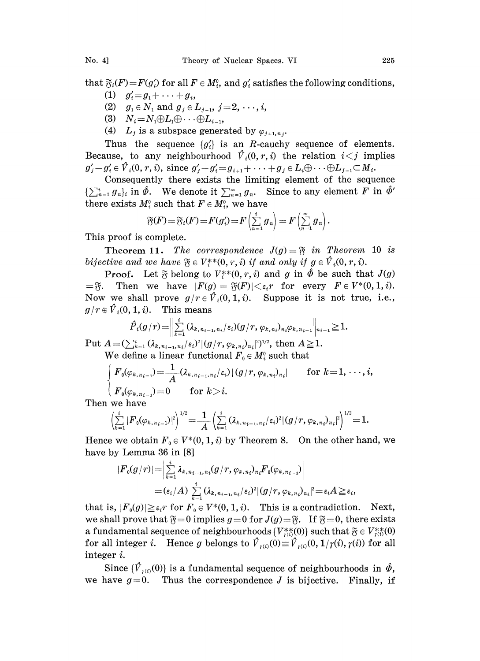that  $\mathfrak{F}_i(F)=F(g_i)$  for all  $F \in M_i^0$ , and  $g_i'$  satisfies the following conditions,

- (1)  $g'_i = g_1 + \cdots + g_i$ ,
- (2)  $g_1 \in N_1$  and  $g_j \in L_{j-1}, j=2, \dots, i$ ,
- (3)  $N_i = N_1 \oplus L_1 \oplus \cdots \oplus L_{i-1}$ ,
- (4)  $L_j$  is a subspace generated by  $\varphi_{j+1,n_j}$ .

Thus the sequence  ${g_i}$  is an R-cauchy sequence of elements. Because, to any neighbourhood  $\hat{V}_i(0,r,i)$  the relation  $i < j$  implies  $g'_j-g'_i \in \hat{V}_i(0, r, i)$ , since  $g'_j-g'_i=g_{i+1}+\cdots+g_j \in L_i\oplus \cdots \oplus L_{j-1}\subset M_i$ .

Consequently there exists the limiting element of the sequence  $\{\sum_{n=1}^{i} g_n\}_i$  in  $\hat{\phi}$ . We denote it  $\sum_{n=1}^{\infty} g_n$ . Since to any element F in  $\hat{\phi}'$ there exists  $M_i^0$  such that  $F \in M_i^0$ , we have

$$
\widetilde{\mathfrak{F}}(F) = \widetilde{\mathfrak{F}}_i(F) = F(g_i') = F\left(\sum_{n=1}^i g_n\right) = F\left(\sum_{n=1}^\infty g_n\right)
$$

This proof is complete.

**Theorem 11.** The correspondence  $J(g) = \tilde{g}$  in Theorem 10 is bijective and we have  $\mathfrak{F} \in V_i^{**}(0, r, i)$  if and only if  $g \in V_i(0, r, i)$ .

**Proof.** Let  $\widetilde{\gamma}$  belong to  $V^{**}(0, r, i)$  and g in  $\hat{\phi}$  be such that  $J(g)$  $=\mathfrak{F}$ . Then we have  $|F(g)|=|\mathfrak{F}(F)|<\varepsilon_i r$  for every  $F\in V^*(0,1,i)$ . Now we shall prove  $g/r \in V_i(0,1,i)$ . Suppose it is not true, i.e.,  $g/r \in \hat{V}_i(0, 1, i)$ . This means

$$
\hat{P}_i(g/r) = \left\| \sum_{k=1}^i (\lambda_{k, n_{i-1}, n_i}/\varepsilon_i)(g/r, \varphi_{k, n_i})_{n_i} \varphi_{k, n_{i-1}} \right\|_{n_{i-1}} \geq 1.
$$

Put  $A = (\sum_{k=1}^{i} (\lambda_{k, n_{i-1}, n_i}/\varepsilon_i)^2 | (g/r, \varphi_{k, n_i})_{n_i}|^2)^{1/2}$ , then  $A \ge 1$ . We define a linear functional  $F_0 \in M_i^0$  such that

$$
F_0(\varphi_{k,n_{i-1}}) = \frac{1}{A} (\lambda_{k,n_{i-1},n_i}/\varepsilon_i) |(g/r, \varphi_{k,n_i})_{n_i}| \quad \text{for } k = 1, \dots, i,
$$
  

$$
F_0(\varphi_{k,n_{i-1}}) = 0 \quad \text{for } k > i.
$$

Then we have

$$
\left(\sum_{k=1}^i|F_0(\varphi_{k,n_{i-1}})|^2\right)^{1/2}=\frac{1}{A}\left(\sum_{k=1}^i(\lambda_{k,n_{i-1},n_i}/\varepsilon_i)^2|(g/r,\varphi_{k,n_i})_{n_i}|^2\right)^{1/2}=1.
$$

Hence we obtain  $F_0 \in V^*(0, 1, i)$  by Theorem 8. On the other hand, we have by Lemma 36 in [8]

$$
|F_0(g/r)| = \Bigl| \sum_{k=1}^i \lambda_{k, n_{i-1}, n_i}(g/r, \varphi_{k, n_i})_{n_i} F_0(\varphi_{k, n_{i-1}}) \Bigr| \\ = \left( \varepsilon_i/A \right) \sum_{k=1}^i (\lambda_{k, n_{i-1}, n_i}/\varepsilon_i)^2 |(g/r, \varphi_{k, n_i})_{n_i}|^2 = \varepsilon_i A \ge \varepsilon_i,
$$
  
that is, 
$$
|F_0(g)| \ge \varepsilon_i r \text{ for } F_0 \in V^*(0, 1, i).
$$
 This is a contradiction. Next,

we shall prove that  $\mathfrak{F}=0$  implies  $g=0$  for  $J(g)=\mathfrak{F}$ . If  $\mathfrak{F}=0$ , there exists a fundamental sequence of neighbourhoods  $\{V_{\tau(i)}^{**}(0)\}$  such that  $\mathfrak{F} \in V_{\tau(i)}^{**}(0)$ for all integer *i*. Hence g belongs to  $\hat{V}_{r(i)}(0)\equiv \hat{V}_{r(i)}(0, 1/\gamma(i), \gamma(i))$  for all integer i.

Since  $\{\hat{V}_{r(i)}(0)\}\$ is a fundamental sequence of neighbourhoods in  $\hat{\phi}$ , we have  $g=0$ . Thus the correspondence J is bijective. Finally, if